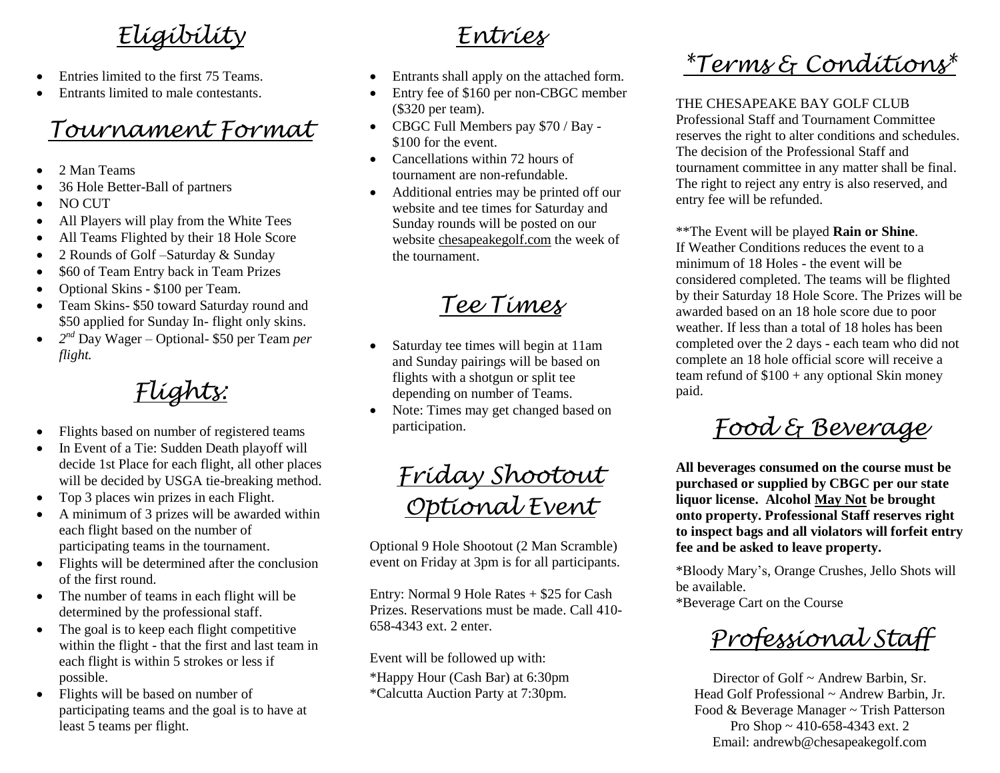# *Eligibility*

- Entries limited to the first 75 Teams.
- Entrants limited to male contestants.

### *Tournament Format*

- 2 Man Teams
- 36 Hole Better-Ball of partners
- NO CUT
- All Players will play from the White Tees
- All Teams Flighted by their 18 Hole Score
- 2 Rounds of Golf –Saturday & Sunday
- \$60 of Team Entry back in Team Prizes
- Optional Skins \$100 per Team.
- Team Skins- \$50 toward Saturday round and \$50 applied for Sunday In- flight only skins.
- *2 nd* Day Wager Optional- \$50 per T*e*am *per flight.*

*Flights:*

- Flights based on number of registered teams
- In Event of a Tie: Sudden Death playoff will decide 1st Place for each flight, all other places will be decided by USGA tie-breaking method.
- Top 3 places win prizes in each Flight.
- A minimum of 3 prizes will be awarded within each flight based on the number of participating teams in the tournament.
- Flights will be determined after the conclusion of the first round.
- The number of teams in each flight will be determined by the professional staff.
- The goal is to keep each flight competitive within the flight - that the first and last team in each flight is within 5 strokes or less if possible.
- Flights will be based on number of participating teams and the goal is to have at least 5 teams per flight.

#### *Entries*

- Entrants shall apply on the attached form.
- Entry fee of \$160 per non-CBGC member (\$320 per team).
- CBGC Full Members pay \$70 / Bay \$100 for the event.
- Cancellations within 72 hours of tournament are non-refundable.
- Additional entries may be printed off our website and tee times for Saturday and Sunday rounds will be posted on our website chesapeakegolf.com the week of the tournament.

## *Tee Times*

- Saturday tee times will begin at 11am and Sunday pairings will be based on flights with a shotgun or split tee depending on number of Teams.
- Note: Times may get changed based on participation.

*Friday Shootout Optional Event*

Optional 9 Hole Shootout (2 Man Scramble) event on Friday at 3pm is for all participants.

Entry: Normal 9 Hole Rates + \$25 for Cash Prizes. Reservations must be made. Call 410- 658-4343 ext. 2 enter.

Event will be followed up with:

\*Happy Hour (Cash Bar) at 6:30pm \*Calcutta Auction Party at 7:30pm.

# *\*Terms & Conditions\**

THE CHESAPEAKE BAY GOLF CLUB

Professional Staff and Tournament Committee reserves the right to alter conditions and schedules. The decision of the Professional Staff and tournament committee in any matter shall be final. The right to reject any entry is also reserved, and entry fee will be refunded.

\*\*The Event will be played **Rain or Shine**. If Weather Conditions reduces the event to a minimum of 18 Holes - the event will be considered completed. The teams will be flighted by their Saturday 18 Hole Score. The Prizes will be awarded based on an 18 hole score due to poor weather. If less than a total of 18 holes has been completed over the 2 days - each team who did not complete an 18 hole official score will receive a team refund of  $$100 + any$  optional Skin money paid.

*Food & Beverage*

**All beverages consumed on the course must be purchased or supplied by CBGC per our state liquor license. Alcohol May Not be brought onto property. Professional Staff reserves right to inspect bags and all violators will forfeit entry fee and be asked to leave property.**

\*Bloody Mary's, Orange Crushes, Jello Shots will be available.

\*Beverage Cart on the Course

*Professional Staff*

Director of Golf ~ Andrew Barbin, Sr. Head Golf Professional ~ Andrew Barbin, Jr. Food & Beverage Manager ~ Trish Patterson Pro Shop ~ 410-658-4343 ext. 2 Email: andrewb@chesapeakegolf.com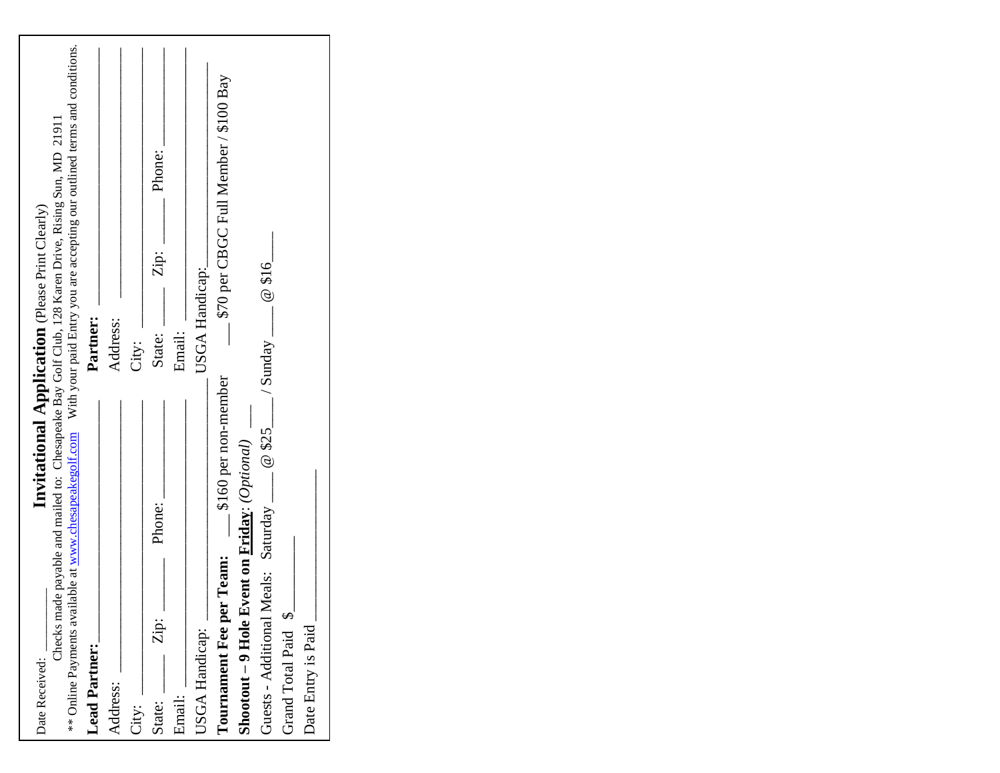| Date Received:                                                                                                                                                                                                                         | Invitational Application (Please Print Clearly) |
|----------------------------------------------------------------------------------------------------------------------------------------------------------------------------------------------------------------------------------------|-------------------------------------------------|
| ** Online Payments available at www.chesapeakegolf.com With your paid Entry you are accepting our outlined terms and conditions.<br>Checks made payable and mailed to: Chesapeake Bay Golf Club, 128 Karen Drive, Rising Sun, MD 21911 |                                                 |
| <b>Lead Partner:</b>                                                                                                                                                                                                                   | Partner:                                        |
| Address:                                                                                                                                                                                                                               | Address:                                        |
| City:                                                                                                                                                                                                                                  | City:                                           |
| Phone:<br>$\mathbf{Zip:}$ –<br>State:                                                                                                                                                                                                  | Phone:<br>Zip:<br>State:                        |
| Email:                                                                                                                                                                                                                                 | Email:                                          |
| USGA Handicap:                                                                                                                                                                                                                         | USGA Handicap:                                  |
| \$160 per non-member<br><b>Tournament Fee per Team:</b>                                                                                                                                                                                | \$70 per CBGC Full Member / \$100 Bay           |
| <b>Shootout – 9 Hole Event on Friday:</b> (Optional) $\qquad$                                                                                                                                                                          |                                                 |
| $_{2}/$ Sunday $_{2}$<br>@\$25<br>Guests - Additional Meals: Saturday _                                                                                                                                                                | @316                                            |
| Grand Total Paid \$                                                                                                                                                                                                                    |                                                 |
| Date Entry is Paid                                                                                                                                                                                                                     |                                                 |
|                                                                                                                                                                                                                                        |                                                 |
|                                                                                                                                                                                                                                        |                                                 |